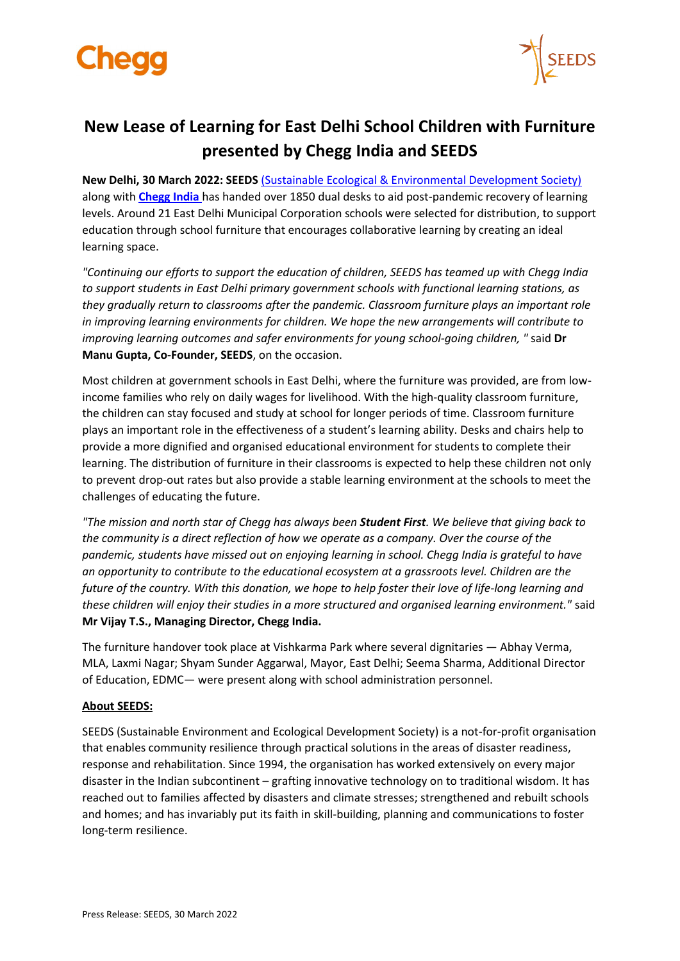



## **New Lease of Learning for East Delhi School Children with Furniture presented by Chegg India and SEEDS**

**New Delhi, 30 March 2022: SEEDS** [\(Sustainable Ecological & Environmental Development Society\)](https://www.seedsindia.org/) along with **[Chegg India](http://www.chegg.com/)** has handed over 1850 dual desks to aid post-pandemic recovery of learning levels. Around 21 East Delhi Municipal Corporation schools were selected for distribution, to support education through school furniture that encourages collaborative learning by creating an ideal learning space.

*"Continuing our efforts to support the education of children, SEEDS has teamed up with Chegg India to support students in East Delhi primary government schools with functional learning stations, as they gradually return to classrooms after the pandemic. Classroom furniture plays an important role in improving learning environments for children. We hope the new arrangements will contribute to improving learning outcomes and safer environments for young school-going children, "* said **Dr Manu Gupta, Co-Founder, SEEDS**, on the occasion.

Most children at government schools in East Delhi, where the furniture was provided, are from lowincome families who rely on daily wages for livelihood. With the high-quality classroom furniture, the children can stay focused and study at school for longer periods of time. Classroom furniture plays an important role in the effectiveness of a student's learning ability. Desks and chairs help to provide a more dignified and organised educational environment for students to complete their learning. The distribution of furniture in their classrooms is expected to help these children not only to prevent drop-out rates but also provide a stable learning environment at the schools to meet the challenges of educating the future.

*"The mission and north star of Chegg has always been Student First. We believe that giving back to the community is a direct reflection of how we operate as a company. Over the course of the pandemic, students have missed out on enjoying learning in school. Chegg India is grateful to have an opportunity to contribute to the educational ecosystem at a grassroots level. Children are the future of the country. With this donation, we hope to help foster their love of life-long learning and these children will enjoy their studies in a more structured and organised learning environment."* said **Mr Vijay T.S., Managing Director, Chegg India.**

The furniture handover took place at Vishkarma Park where several dignitaries — Abhay Verma, MLA, Laxmi Nagar; Shyam Sunder Aggarwal, Mayor, East Delhi; Seema Sharma, Additional Director of Education, EDMC— were present along with school administration personnel.

## **About SEEDS:**

SEEDS (Sustainable Environment and Ecological Development Society) is a not-for-profit organisation that enables community resilience through practical solutions in the areas of disaster readiness, response and rehabilitation. Since 1994, the organisation has worked extensively on every major disaster in the Indian subcontinent – grafting innovative technology on to traditional wisdom. It has reached out to families affected by disasters and climate stresses; strengthened and rebuilt schools and homes; and has invariably put its faith in skill-building, planning and communications to foster long-term resilience.